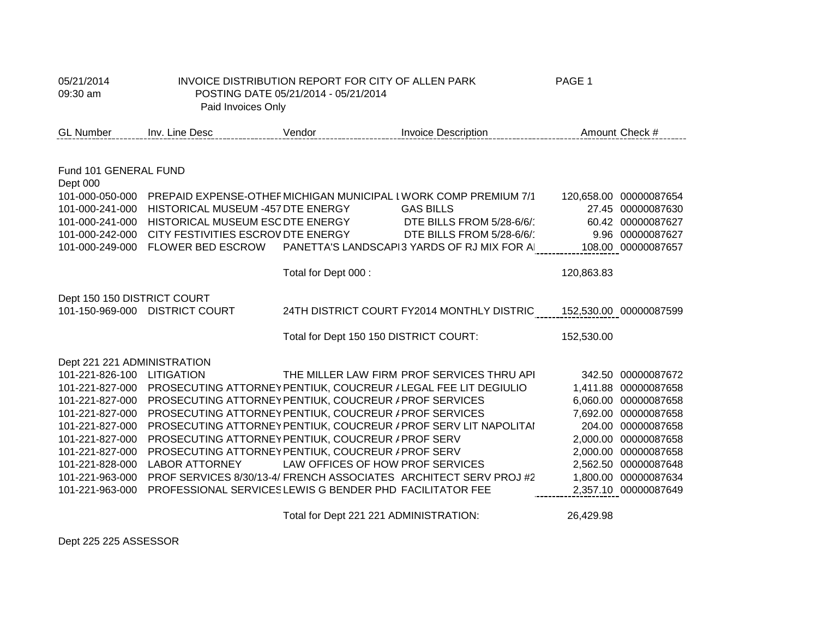| 05/21/2014<br>09:30 am             | Paid Invoices Only                                              | INVOICE DISTRIBUTION REPORT FOR CITY OF ALLEN PARK<br>POSTING DATE 05/21/2014 - 05/21/2014 |                                                                                      | PAGE 1     |                                             |
|------------------------------------|-----------------------------------------------------------------|--------------------------------------------------------------------------------------------|--------------------------------------------------------------------------------------|------------|---------------------------------------------|
| <b>GL Number</b>                   | Inv. Line Desc                                                  | Vendor                                                                                     | <b>Invoice Description</b>                                                           |            | Amount Check #                              |
|                                    |                                                                 |                                                                                            |                                                                                      |            |                                             |
| Fund 101 GENERAL FUND<br>Dept 000  |                                                                 |                                                                                            |                                                                                      |            |                                             |
| 101-000-050-000<br>101-000-241-000 | HISTORICAL MUSEUM -457 DTE ENERGY                               |                                                                                            | PREPAID EXPENSE-OTHEF MICHIGAN MUNICIPAL I WORK COMP PREMIUM 7/1<br><b>GAS BILLS</b> |            | 120,658.00 00000087654<br>27.45 00000087630 |
| 101-000-241-000                    | HISTORICAL MUSEUM ESC DTE ENERGY                                |                                                                                            | DTE BILLS FROM 5/28-6/6/                                                             |            | 60.42 00000087627                           |
| 101-000-242-000                    | CITY FESTIVITIES ESCROV DTE ENERGY                              |                                                                                            | DTE BILLS FROM 5/28-6/6/                                                             |            | 9.96 00000087627                            |
| 101-000-249-000                    | FLOWER BED ESCROW                                               |                                                                                            | PANETTA'S LANDSCAPI3 YARDS OF RJ MIX FOR A                                           |            | 108.00 00000087657                          |
|                                    |                                                                 | Total for Dept 000:                                                                        |                                                                                      | 120,863.83 |                                             |
| Dept 150 150 DISTRICT COURT        |                                                                 |                                                                                            |                                                                                      |            |                                             |
|                                    | 101-150-969-000 DISTRICT COURT                                  |                                                                                            | 24TH DISTRICT COURT FY2014 MONTHLY DISTRIC                                           |            | 152,530.00 00000087599                      |
|                                    |                                                                 | Total for Dept 150 150 DISTRICT COURT:                                                     |                                                                                      | 152,530.00 |                                             |
| Dept 221 221 ADMINISTRATION        |                                                                 |                                                                                            |                                                                                      |            |                                             |
| 101-221-826-100                    | <b>LITIGATION</b>                                               |                                                                                            | THE MILLER LAW FIRM PROF SERVICES THRU API                                           | 342.50     | 00000087672                                 |
| 101-221-827-000                    | PROSECUTING ATTORNEY PENTIUK, COUCREUR / LEGAL FEE LIT DEGIULIO |                                                                                            |                                                                                      |            | 1,411.88 00000087658                        |
| 101-221-827-000                    | PROSECUTING ATTORNEY PENTIUK, COUCREUR / PROF SERVICES          |                                                                                            |                                                                                      |            | 6,060.00 00000087658                        |
| 101-221-827-000                    | PROSECUTING ATTORNEY PENTIUK, COUCREUR / PROF SERVICES          |                                                                                            |                                                                                      |            | 7,692.00 00000087658                        |
| 101-221-827-000<br>101-221-827-000 | PROSECUTING ATTORNEY PENTIUK, COUCREUR / PROF SERV              |                                                                                            | PROSECUTING ATTORNEY PENTIUK, COUCREUR / PROF SERV LIT NAPOLITAI                     | 204.00     | 00000087658<br>2,000.00 00000087658         |
| 101-221-827-000                    | PROSECUTING ATTORNEY PENTIUK, COUCREUR / PROF SERV              |                                                                                            |                                                                                      |            | 2,000.00 00000087658                        |
| 101-221-828-000                    | <b>LABOR ATTORNEY</b>                                           | LAW OFFICES OF HOW PROF SERVICES                                                           |                                                                                      | 2,562.50   | 00000087648                                 |
| 101-221-963-000                    |                                                                 |                                                                                            | PROF SERVICES 8/30/13-4/ FRENCH ASSOCIATES ARCHITECT SERV PROJ #2                    | 1,800.00   | 00000087634                                 |
| 101-221-963-000                    | PROFESSIONAL SERVICES LEWIS G BENDER PHD FACILITATOR FEE        |                                                                                            |                                                                                      |            | 2,357.10 00000087649                        |
|                                    |                                                                 | Total for Dept 221 221 ADMINISTRATION:                                                     |                                                                                      | 26,429.98  |                                             |

Dept 225 225 ASSESSOR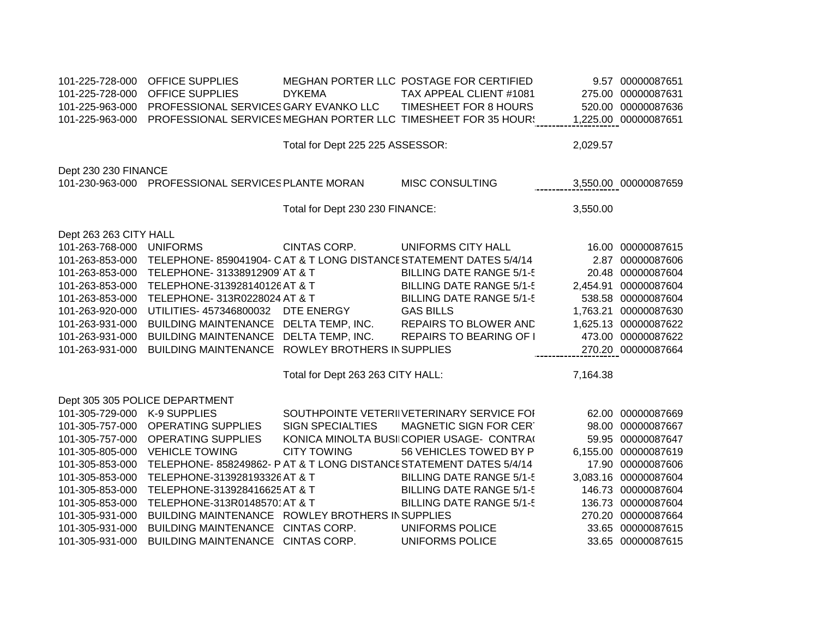| 101-225-728-000<br>101-225-728-000 | <b>OFFICE SUPPLIES</b><br><b>OFFICE SUPPLIES</b>   | <b>DYKEMA</b>                     | MEGHAN PORTER LLC POSTAGE FOR CERTIFIED<br>TAX APPEAL CLIENT #1081 |          | 9.57 00000087651<br>275.00 00000087631 |
|------------------------------------|----------------------------------------------------|-----------------------------------|--------------------------------------------------------------------|----------|----------------------------------------|
| 101-225-963-000                    | PROFESSIONAL SERVICES GARY EVANKO LLC              |                                   | TIMESHEET FOR 8 HOURS                                              |          | 520.00 00000087636                     |
| 101-225-963-000                    |                                                    |                                   | PROFESSIONAL SERVICES MEGHAN PORTER LLC TIMESHEET FOR 35 HOUR!     |          | 1,225.00 00000087651                   |
|                                    |                                                    | Total for Dept 225 225 ASSESSOR:  |                                                                    | 2,029.57 |                                        |
|                                    |                                                    |                                   |                                                                    |          |                                        |
| Dept 230 230 FINANCE               |                                                    |                                   |                                                                    |          |                                        |
|                                    | 101-230-963-000 PROFESSIONAL SERVICES PLANTE MORAN |                                   | <b>MISC CONSULTING</b>                                             |          | 3,550.00 00000087659                   |
|                                    |                                                    |                                   |                                                                    |          |                                        |
|                                    |                                                    | Total for Dept 230 230 FINANCE:   |                                                                    | 3,550.00 |                                        |
| Dept 263 263 CITY HALL             |                                                    |                                   |                                                                    |          |                                        |
| 101-263-768-000                    | <b>UNIFORMS</b>                                    | CINTAS CORP.                      | UNIFORMS CITY HALL                                                 |          | 16.00 00000087615                      |
| 101-263-853-000                    |                                                    |                                   | TELEPHONE-859041904- CAT & T LONG DISTANCE STATEMENT DATES 5/4/14  |          | 2.87 00000087606                       |
| 101-263-853-000                    | TELEPHONE- 31338912909 AT & T                      |                                   | <b>BILLING DATE RANGE 5/1-5</b>                                    |          | 20.48 00000087604                      |
| 101-263-853-000                    | TELEPHONE-313928140126 AT & T                      |                                   | <b>BILLING DATE RANGE 5/1-5</b>                                    |          | 2,454.91 00000087604                   |
| 101-263-853-000                    | TELEPHONE- 313R0228024 AT & T                      |                                   | <b>BILLING DATE RANGE 5/1-5</b>                                    |          | 538.58 00000087604                     |
| 101-263-920-000                    | UTILITIES- 457346800032                            | DTE ENERGY                        | <b>GAS BILLS</b>                                                   |          | 1,763.21 00000087630                   |
| 101-263-931-000                    | BUILDING MAINTENANCE DELTA TEMP, INC.              |                                   | REPAIRS TO BLOWER AND                                              |          | 1,625.13 00000087622                   |
| 101-263-931-000                    | BUILDING MAINTENANCE DELTA TEMP, INC.              |                                   | REPAIRS TO BEARING OF I                                            |          | 473.00 00000087622                     |
| 101-263-931-000                    | BUILDING MAINTENANCE ROWLEY BROTHERS IN SUPPLIES   |                                   |                                                                    |          | 270.20 00000087664                     |
|                                    |                                                    | Total for Dept 263 263 CITY HALL: |                                                                    | 7,164.38 |                                        |
|                                    |                                                    |                                   |                                                                    |          |                                        |
|                                    | Dept 305 305 POLICE DEPARTMENT                     |                                   |                                                                    |          |                                        |
| 101-305-729-000                    | K-9 SUPPLIES                                       |                                   | SOUTHPOINTE VETERIIVETERINARY SERVICE FOI                          |          | 62.00 00000087669                      |
| 101-305-757-000                    | <b>OPERATING SUPPLIES</b>                          | <b>SIGN SPECIALTIES</b>           | MAGNETIC SIGN FOR CERT                                             |          | 98.00 00000087667                      |
| 101-305-757-000                    | <b>OPERATING SUPPLIES</b>                          |                                   | KONICA MINOLTA BUSII COPIER USAGE- CONTRA                          |          | 59.95 00000087647                      |
| 101-305-805-000                    | <b>VEHICLE TOWING</b>                              | <b>CITY TOWING</b>                | 56 VEHICLES TOWED BY P                                             |          | 6,155.00 00000087619                   |
| 101-305-853-000                    |                                                    |                                   | TELEPHONE-858249862- P AT & T LONG DISTANCE STATEMENT DATES 5/4/14 |          | 17.90 00000087606                      |
| 101-305-853-000                    | TELEPHONE-313928193326 AT & T                      |                                   | <b>BILLING DATE RANGE 5/1-5</b>                                    |          | 3,083.16 00000087604                   |
| 101-305-853-000                    | TELEPHONE-313928416625 AT & T                      |                                   | <b>BILLING DATE RANGE 5/1-5</b>                                    |          | 146.73 00000087604                     |
| 101-305-853-000                    | TELEPHONE-313R01485701AT & T                       |                                   | <b>BILLING DATE RANGE 5/1-5</b>                                    |          | 136.73 00000087604                     |
| 101-305-931-000                    | BUILDING MAINTENANCE ROWLEY BROTHERS IN SUPPLIES   |                                   |                                                                    |          | 270.20 00000087664                     |
| 101-305-931-000                    | BUILDING MAINTENANCE CINTAS CORP.                  |                                   | <b>UNIFORMS POLICE</b>                                             |          | 33.65 00000087615                      |
| 101-305-931-000                    | BUILDING MAINTENANCE CINTAS CORP.                  |                                   | UNIFORMS POLICE                                                    |          | 33.65 00000087615                      |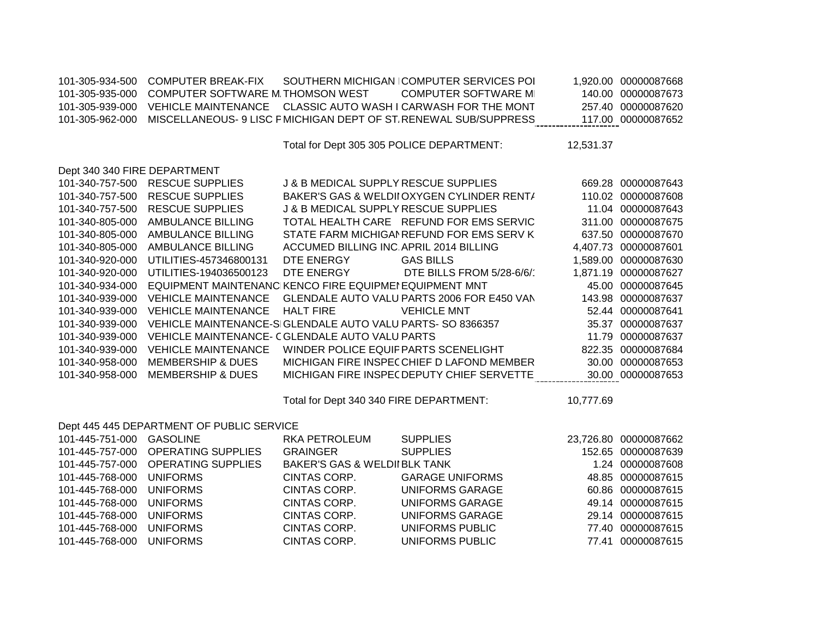| 101-305-934-500              | <b>COMPUTER BREAK-FIX</b>                                  |                                                 | SOUTHERN MICHIGAN COMPUTER SERVICES POI                         |           | 1,920.00 00000087668  |
|------------------------------|------------------------------------------------------------|-------------------------------------------------|-----------------------------------------------------------------|-----------|-----------------------|
| 101-305-935-000              | COMPUTER SOFTWARE M THOMSON WEST                           |                                                 | <b>COMPUTER SOFTWARE M</b>                                      |           | 140.00 00000087673    |
| 101-305-939-000              | <b>VEHICLE MAINTENANCE</b>                                 |                                                 | CLASSIC AUTO WASH I CARWASH FOR THE MONT                        |           | 257.40 00000087620    |
| 101-305-962-000              |                                                            |                                                 | MISCELLANEOUS- 9 LISC FMICHIGAN DEPT OF ST RENEWAL SUB/SUPPRESS |           | 117.00 00000087652    |
|                              |                                                            |                                                 |                                                                 |           |                       |
|                              |                                                            | Total for Dept 305 305 POLICE DEPARTMENT:       |                                                                 | 12,531.37 |                       |
|                              |                                                            |                                                 |                                                                 |           |                       |
| Dept 340 340 FIRE DEPARTMENT |                                                            |                                                 |                                                                 |           |                       |
| 101-340-757-500              | <b>RESCUE SUPPLIES</b>                                     | <b>J &amp; B MEDICAL SUPPLY RESCUE SUPPLIES</b> |                                                                 |           | 669.28 00000087643    |
| 101-340-757-500              | <b>RESCUE SUPPLIES</b>                                     |                                                 | BAKER'S GAS & WELDII OXYGEN CYLINDER RENT/                      |           | 110.02 00000087608    |
| 101-340-757-500              | <b>RESCUE SUPPLIES</b>                                     | J & B MEDICAL SUPPLY RESCUE SUPPLIES            |                                                                 |           | 11.04 00000087643     |
| 101-340-805-000              | AMBULANCE BILLING                                          |                                                 | TOTAL HEALTH CARE REFUND FOR EMS SERVIC                         |           | 311.00 00000087675    |
| 101-340-805-000              | AMBULANCE BILLING                                          |                                                 | STATE FARM MICHIGAI REFUND FOR EMS SERV K                       |           | 637.50 00000087670    |
| 101-340-805-000              | AMBULANCE BILLING                                          | ACCUMED BILLING INC APRIL 2014 BILLING          |                                                                 |           | 4,407.73 00000087601  |
| 101-340-920-000              | UTILITIES-457346800131                                     | DTE ENERGY                                      | <b>GAS BILLS</b>                                                |           | 1,589.00 00000087630  |
| 101-340-920-000              | UTILITIES-194036500123                                     | DTE ENERGY                                      | DTE BILLS FROM 5/28-6/6/                                        |           | 1,871.19 00000087627  |
| 101-340-934-000              | EQUIPMENT MAINTENANC KENCO FIRE EQUIPMEI EQUIPMENT MNT     |                                                 |                                                                 |           | 45.00 00000087645     |
| 101-340-939-000              | <b>VEHICLE MAINTENANCE</b>                                 |                                                 | GLENDALE AUTO VALU PARTS 2006 FOR E450 VAN                      |           | 143.98 00000087637    |
| 101-340-939-000              | <b>VEHICLE MAINTENANCE</b>                                 | <b>HALT FIRE</b>                                | <b>VEHICLE MNT</b>                                              |           | 52.44 00000087641     |
| 101-340-939-000              | VEHICLE MAINTENANCE-SIGLENDALE AUTO VALU PARTS- SO 8366357 |                                                 |                                                                 |           | 35.37 00000087637     |
| 101-340-939-000              | VEHICLE MAINTENANCE- CGLENDALE AUTO VALU PARTS             |                                                 |                                                                 |           | 11.79 00000087637     |
| 101-340-939-000              | <b>VEHICLE MAINTENANCE</b>                                 | WINDER POLICE EQUIF PARTS SCENELIGHT            |                                                                 |           | 822.35 00000087684    |
| 101-340-958-000              | <b>MEMBERSHIP &amp; DUES</b>                               |                                                 | MICHIGAN FIRE INSPECCHIEF D LAFOND MEMBER                       |           | 30.00 00000087653     |
| 101-340-958-000              | <b>MEMBERSHIP &amp; DUES</b>                               |                                                 | MICHIGAN FIRE INSPEC DEPUTY CHIEF SERVETTE                      |           | 30.00 00000087653     |
|                              |                                                            |                                                 |                                                                 |           |                       |
|                              |                                                            | Total for Dept 340 340 FIRE DEPARTMENT:         |                                                                 | 10,777.69 |                       |
|                              | Dept 445 445 DEPARTMENT OF PUBLIC SERVICE                  |                                                 |                                                                 |           |                       |
| 101-445-751-000              | <b>GASOLINE</b>                                            | <b>RKA PETROLEUM</b>                            | <b>SUPPLIES</b>                                                 |           | 23,726.80 00000087662 |
| 101-445-757-000              | <b>OPERATING SUPPLIES</b>                                  | <b>GRAINGER</b>                                 | <b>SUPPLIES</b>                                                 |           | 152.65 00000087639    |
| 101-445-757-000              | <b>OPERATING SUPPLIES</b>                                  | <b>BAKER'S GAS &amp; WELDII BLK TANK</b>        |                                                                 |           | 1.24 00000087608      |
| 101-445-768-000              | <b>UNIFORMS</b>                                            | CINTAS CORP.                                    | <b>GARAGE UNIFORMS</b>                                          |           | 48.85 00000087615     |
|                              |                                                            |                                                 |                                                                 |           |                       |
| 101-445-768-000              | <b>UNIFORMS</b>                                            | CINTAS CORP.                                    | <b>UNIFORMS GARAGE</b>                                          |           | 60.86 00000087615     |
| 101-445-768-000              | <b>UNIFORMS</b>                                            | CINTAS CORP.                                    | <b>UNIFORMS GARAGE</b>                                          |           | 49.14 00000087615     |
| 101-445-768-000              | <b>UNIFORMS</b>                                            | CINTAS CORP.                                    | <b>UNIFORMS GARAGE</b>                                          |           | 29.14 00000087615     |
| 101-445-768-000              | <b>UNIFORMS</b>                                            | CINTAS CORP.                                    | <b>UNIFORMS PUBLIC</b>                                          |           | 77.40 00000087615     |
| 101-445-768-000              | <b>UNIFORMS</b>                                            | <b>CINTAS CORP.</b>                             | <b>UNIFORMS PUBLIC</b>                                          |           | 77.41 00000087615     |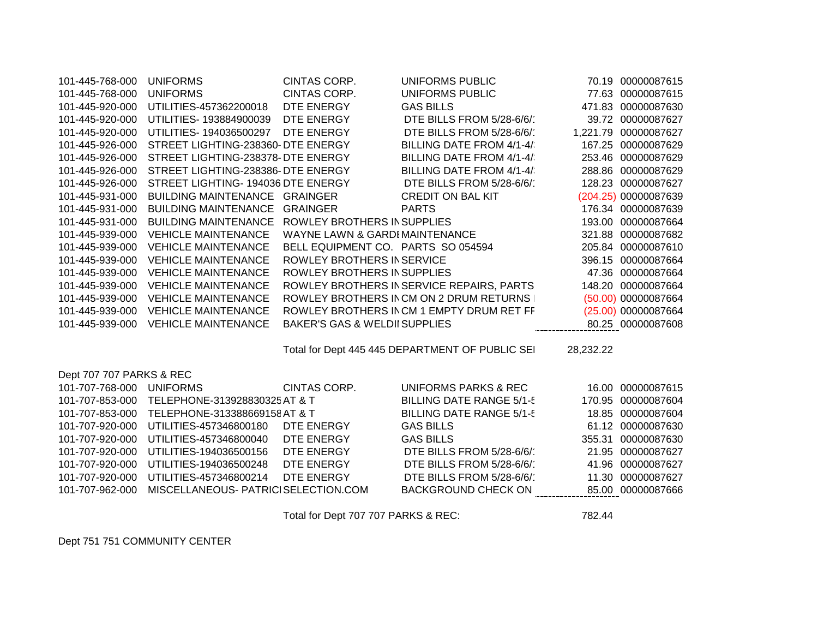| 101-445-768-000          | <b>UNIFORMS</b>                      | CINTAS CORP.                             | <b>UNIFORMS PUBLIC</b>                          |           | 70.19 00000087615    |
|--------------------------|--------------------------------------|------------------------------------------|-------------------------------------------------|-----------|----------------------|
| 101-445-768-000          | <b>UNIFORMS</b>                      | CINTAS CORP.                             | <b>UNIFORMS PUBLIC</b>                          |           | 77.63 00000087615    |
| 101-445-920-000          | UTILITIES-457362200018               | DTE ENERGY                               | <b>GAS BILLS</b>                                |           | 471.83 00000087630   |
| 101-445-920-000          | UTILITIES- 193884900039              | DTE ENERGY                               | DTE BILLS FROM 5/28-6/6/                        |           | 39.72 00000087627    |
| 101-445-920-000          | UTILITIES- 194036500297              | DTE ENERGY                               | DTE BILLS FROM 5/28-6/6/                        |           | 1,221.79 00000087627 |
| 101-445-926-000          | STREET LIGHTING-238360- DTE ENERGY   |                                          | BILLING DATE FROM 4/1-4/                        |           | 167.25 00000087629   |
| 101-445-926-000          | STREET LIGHTING-238378-DTE ENERGY    |                                          | BILLING DATE FROM 4/1-4/                        |           | 253.46 00000087629   |
| 101-445-926-000          | STREET LIGHTING-238386- DTE ENERGY   |                                          | BILLING DATE FROM 4/1-4/                        |           | 288.86 00000087629   |
| 101-445-926-000          | STREET LIGHTING- 194036 DTE ENERGY   |                                          | DTE BILLS FROM 5/28-6/6/                        |           | 128.23 00000087627   |
| 101-445-931-000          | <b>BUILDING MAINTENANCE GRAINGER</b> |                                          | <b>CREDIT ON BAL KIT</b>                        |           | (204.25) 00000087639 |
| 101-445-931-000          | <b>BUILDING MAINTENANCE</b>          | <b>GRAINGER</b>                          | <b>PARTS</b>                                    |           | 176.34 00000087639   |
| 101-445-931-000          | <b>BUILDING MAINTENANCE</b>          | ROWLEY BROTHERS IN SUPPLIES              |                                                 |           | 193.00 00000087664   |
| 101-445-939-000          | <b>VEHICLE MAINTENANCE</b>           | WAYNE LAWN & GARDI MAINTENANCE           |                                                 |           | 321.88 00000087682   |
| 101-445-939-000          | <b>VEHICLE MAINTENANCE</b>           | BELL EQUIPMENT CO. PARTS SO 054594       |                                                 |           | 205.84 00000087610   |
| 101-445-939-000          | <b>VEHICLE MAINTENANCE</b>           | ROWLEY BROTHERS IN SERVICE               |                                                 |           | 396.15 00000087664   |
| 101-445-939-000          | <b>VEHICLE MAINTENANCE</b>           | ROWLEY BROTHERS IN SUPPLIES              |                                                 |           | 47.36 00000087664    |
| 101-445-939-000          | <b>VEHICLE MAINTENANCE</b>           |                                          | ROWLEY BROTHERS IN SERVICE REPAIRS, PARTS       |           | 148.20 00000087664   |
| 101-445-939-000          | <b>VEHICLE MAINTENANCE</b>           |                                          | ROWLEY BROTHERS IN CM ON 2 DRUM RETURNS         |           | (50.00) 00000087664  |
| 101-445-939-000          | <b>VEHICLE MAINTENANCE</b>           |                                          | ROWLEY BROTHERS IN CM 1 EMPTY DRUM RET FF       |           | (25.00) 00000087664  |
| 101-445-939-000          | <b>VEHICLE MAINTENANCE</b>           | <b>BAKER'S GAS &amp; WELDII SUPPLIES</b> |                                                 |           | 80.25 00000087608    |
|                          |                                      |                                          |                                                 |           |                      |
|                          |                                      |                                          | Total for Dept 445 445 DEPARTMENT OF PUBLIC SEI | 28,232.22 |                      |
| Dept 707 707 PARKS & REC |                                      |                                          |                                                 |           |                      |
| 101-707-768-000          | <b>UNIFORMS</b>                      | CINTAS CORP.                             | <b>UNIFORMS PARKS &amp; REC</b>                 |           | 16.00 00000087615    |
| 101-707-853-000          | TELEPHONE-313928830325 AT & T        |                                          | <b>BILLING DATE RANGE 5/1-5</b>                 |           | 170.95 00000087604   |
| 101-707-853-000          | TELEPHONE-313388669158 AT & T        |                                          | <b>BILLING DATE RANGE 5/1-5</b>                 |           | 18.85 00000087604    |
| 101-707-920-000          | UTILITIES-457346800180               | DTE ENERGY                               | <b>GAS BILLS</b>                                |           | 61.12 00000087630    |
| 101-707-920-000          | UTILITIES-457346800040               | DTE ENERGY                               | <b>GAS BILLS</b>                                |           | 355.31 00000087630   |
| 101-707-920-000          | UTILITIES-194036500156               | DTE ENERGY                               | DTE BILLS FROM 5/28-6/6/                        |           | 21.95 00000087627    |
| 101-707-920-000          | UTILITIES-194036500248               | DTE ENERGY                               | DTE BILLS FROM 5/28-6/6/                        |           | 41.96 00000087627    |
| 101-707-920-000          | UTILITIES-457346800214               | DTE ENERGY                               | DTE BILLS FROM 5/28-6/6/                        |           | 11.30 00000087627    |
| 101-707-962-000          | MISCELLANEOUS- PATRICI SELECTION.COM |                                          | <b>BACKGROUND CHECK ON</b>                      |           | 85.00 00000087666    |
|                          |                                      |                                          |                                                 |           |                      |

Total for Dept 707 707 PARKS & REC: 782.44

Dept 751 751 COMMUNITY CENTER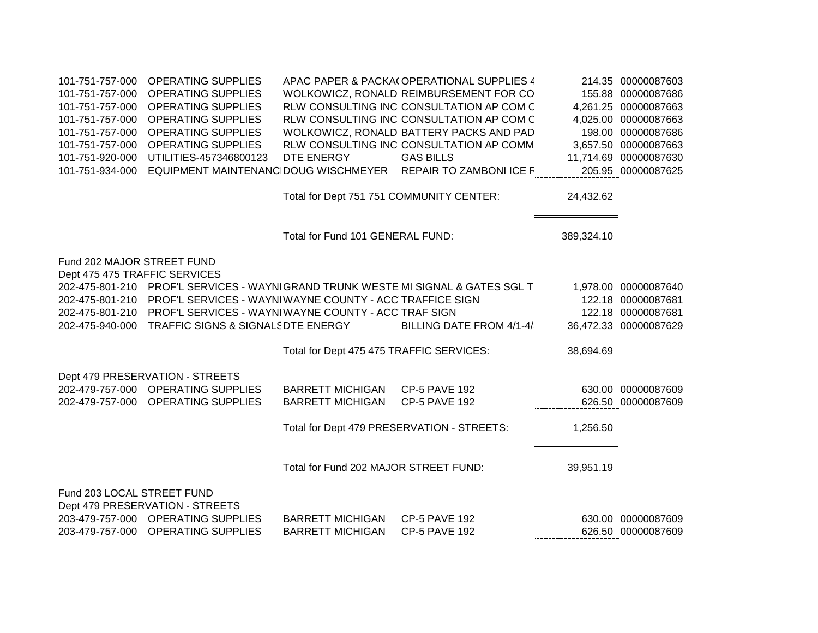| 101-751-757-000               | <b>OPERATING SUPPLIES</b>                                                        |                                          | APAC PAPER & PACKA(OPERATIONAL SUPPLIES 4                    |            | 214.35 00000087603    |
|-------------------------------|----------------------------------------------------------------------------------|------------------------------------------|--------------------------------------------------------------|------------|-----------------------|
| 101-751-757-000               | <b>OPERATING SUPPLIES</b>                                                        |                                          | WOLKOWICZ, RONALD REIMBURSEMENT FOR CO                       |            | 155.88 00000087686    |
| 101-751-757-000               | <b>OPERATING SUPPLIES</b>                                                        |                                          | RLW CONSULTING INC CONSULTATION AP COM C                     |            | 4,261.25 00000087663  |
| 101-751-757-000               | <b>OPERATING SUPPLIES</b>                                                        |                                          | RLW CONSULTING INC CONSULTATION AP COM C                     |            | 4,025.00 00000087663  |
| 101-751-757-000               | <b>OPERATING SUPPLIES</b>                                                        |                                          | WOLKOWICZ, RONALD BATTERY PACKS AND PAD                      |            | 198.00 00000087686    |
| 101-751-757-000               | <b>OPERATING SUPPLIES</b>                                                        |                                          | RLW CONSULTING INC CONSULTATION AP COMM                      |            | 3,657.50 00000087663  |
| 101-751-920-000               | UTILITIES-457346800123                                                           | DTE ENERGY                               | <b>GAS BILLS</b>                                             |            | 11,714.69 00000087630 |
| 101-751-934-000               |                                                                                  |                                          | EQUIPMENT MAINTENANC DOUG WISCHMEYER REPAIR TO ZAMBONI ICE F |            | 205.95 00000087625    |
|                               |                                                                                  |                                          |                                                              |            |                       |
|                               |                                                                                  | Total for Dept 751 751 COMMUNITY CENTER: |                                                              | 24,432.62  |                       |
|                               |                                                                                  |                                          |                                                              |            |                       |
|                               |                                                                                  |                                          |                                                              |            |                       |
|                               |                                                                                  | Total for Fund 101 GENERAL FUND:         |                                                              | 389,324.10 |                       |
|                               |                                                                                  |                                          |                                                              |            |                       |
| Fund 202 MAJOR STREET FUND    |                                                                                  |                                          |                                                              |            |                       |
| Dept 475 475 TRAFFIC SERVICES |                                                                                  |                                          |                                                              |            |                       |
|                               | 202-475-801-210 PROF'L SERVICES - WAYNIGRAND TRUNK WESTE MI SIGNAL & GATES SGL T |                                          |                                                              |            | 1,978.00 00000087640  |
|                               | 202-475-801-210 PROF'L SERVICES - WAYNIWAYNE COUNTY - ACC TRAFFICE SIGN          |                                          |                                                              |            | 122.18 00000087681    |
|                               | 202-475-801-210 PROF'L SERVICES - WAYNIWAYNE COUNTY - ACC TRAF SIGN              |                                          |                                                              |            | 122.18 00000087681    |
|                               | 202-475-940-000 TRAFFIC SIGNS & SIGNALS DTE ENERGY                               |                                          | BILLING DATE FROM 4/1-4/                                     |            | 36,472.33 00000087629 |
|                               |                                                                                  | Total for Dept 475 475 TRAFFIC SERVICES: |                                                              | 38,694.69  |                       |
|                               |                                                                                  |                                          |                                                              |            |                       |
|                               | Dept 479 PRESERVATION - STREETS                                                  |                                          |                                                              |            |                       |
|                               | 202-479-757-000 OPERATING SUPPLIES                                               | <b>BARRETT MICHIGAN</b>                  | <b>CP-5 PAVE 192</b>                                         |            | 630.00 00000087609    |
|                               | 202-479-757-000 OPERATING SUPPLIES                                               | <b>BARRETT MICHIGAN</b>                  | <b>CP-5 PAVE 192</b>                                         |            | 626.50 00000087609    |
|                               |                                                                                  |                                          |                                                              |            |                       |
|                               |                                                                                  |                                          | Total for Dept 479 PRESERVATION - STREETS:                   | 1,256.50   |                       |
|                               |                                                                                  |                                          |                                                              |            |                       |
|                               |                                                                                  |                                          |                                                              |            |                       |
|                               |                                                                                  | Total for Fund 202 MAJOR STREET FUND:    |                                                              | 39,951.19  |                       |
|                               |                                                                                  |                                          |                                                              |            |                       |
| Fund 203 LOCAL STREET FUND    |                                                                                  |                                          |                                                              |            |                       |
|                               | Dept 479 PRESERVATION - STREETS                                                  |                                          |                                                              |            |                       |
|                               | 203-479-757-000 OPERATING SUPPLIES                                               | <b>BARRETT MICHIGAN</b>                  | <b>CP-5 PAVE 192</b>                                         |            | 630.00 00000087609    |
|                               | 203-479-757-000 OPERATING SUPPLIES                                               | <b>BARRETT MICHIGAN</b>                  | <b>CP-5 PAVE 192</b>                                         |            | 626.50 00000087609    |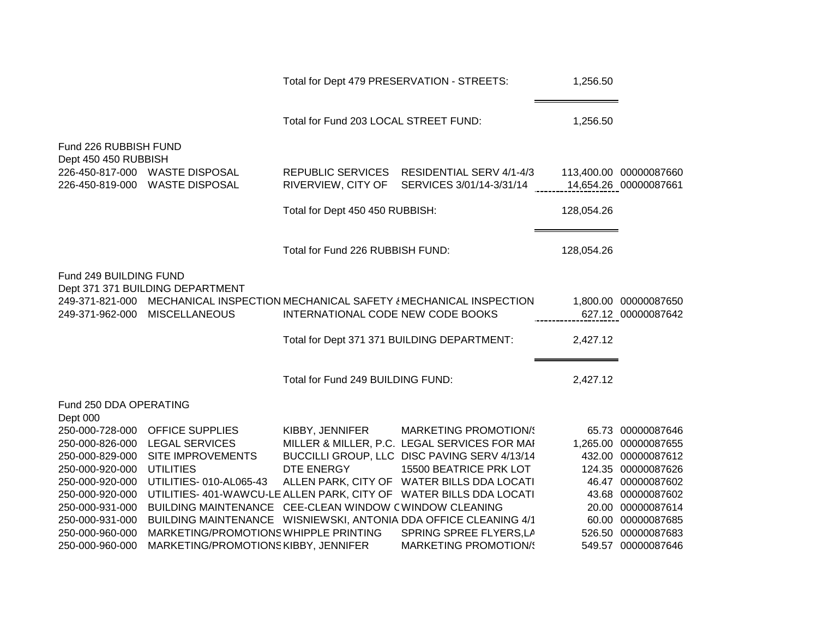|                                                                                                                                                                                |                                                                  | Total for Dept 479 PRESERVATION - STREETS: |                                                                    | 1,256.50   |                                                 |
|--------------------------------------------------------------------------------------------------------------------------------------------------------------------------------|------------------------------------------------------------------|--------------------------------------------|--------------------------------------------------------------------|------------|-------------------------------------------------|
|                                                                                                                                                                                |                                                                  | Total for Fund 203 LOCAL STREET FUND:      |                                                                    | 1,256.50   |                                                 |
| Fund 226 RUBBISH FUND<br>Dept 450 450 RUBBISH                                                                                                                                  | 226-450-817-000 WASTE DISPOSAL<br>226-450-819-000 WASTE DISPOSAL | REPUBLIC SERVICES<br>RIVERVIEW, CITY OF    | RESIDENTIAL SERV 4/1-4/3<br>SERVICES 3/01/14-3/31/14               |            | 113,400.00 00000087660<br>14,654.26 00000087661 |
|                                                                                                                                                                                |                                                                  | Total for Dept 450 450 RUBBISH:            |                                                                    | 128,054.26 |                                                 |
|                                                                                                                                                                                |                                                                  | Total for Fund 226 RUBBISH FUND:           |                                                                    | 128,054.26 |                                                 |
| Fund 249 BUILDING FUND<br>Dept 371 371 BUILDING DEPARTMENT<br>249-371-821-000 MECHANICAL INSPECTION MECHANICAL SAFETY { MECHANICAL INSPECTION<br>249-371-962-000 MISCELLANEOUS |                                                                  | INTERNATIONAL CODE NEW CODE BOOKS          |                                                                    |            | 1,800.00 00000087650<br>627.12 00000087642      |
|                                                                                                                                                                                |                                                                  |                                            | Total for Dept 371 371 BUILDING DEPARTMENT:                        | 2,427.12   |                                                 |
|                                                                                                                                                                                |                                                                  | Total for Fund 249 BUILDING FUND:          |                                                                    | 2,427.12   |                                                 |
| Fund 250 DDA OPERATING<br>Dept 000                                                                                                                                             |                                                                  |                                            |                                                                    |            |                                                 |
| 250-000-728-000                                                                                                                                                                | <b>OFFICE SUPPLIES</b>                                           | KIBBY, JENNIFER                            | <b>MARKETING PROMOTION/S</b>                                       |            | 65.73 00000087646                               |
| 250-000-826-000                                                                                                                                                                | <b>LEGAL SERVICES</b>                                            |                                            | MILLER & MILLER, P.C. LEGAL SERVICES FOR MAI                       |            | 1,265.00 00000087655                            |
| 250-000-829-000                                                                                                                                                                | SITE IMPROVEMENTS                                                |                                            | BUCCILLI GROUP, LLC DISC PAVING SERV 4/13/14                       |            | 432.00 00000087612                              |
| 250-000-920-000                                                                                                                                                                | <b>UTILITIES</b>                                                 | DTE ENERGY                                 | 15500 BEATRICE PRK LOT                                             |            | 124.35 00000087626                              |
| 250-000-920-000                                                                                                                                                                | UTILITIES- 010-AL065-43                                          |                                            | ALLEN PARK, CITY OF WATER BILLS DDA LOCATI                         |            | 46.47 00000087602                               |
| 250-000-920-000                                                                                                                                                                |                                                                  |                                            | UTILITIES- 401-WAWCU-LE ALLEN PARK, CITY OF WATER BILLS DDA LOCATI |            | 43.68 00000087602                               |
| 250-000-931-000                                                                                                                                                                | BUILDING MAINTENANCE CEE-CLEAN WINDOW CWINDOW CLEANING           |                                            |                                                                    |            | 20.00 00000087614                               |
| 250-000-931-000                                                                                                                                                                |                                                                  |                                            | BUILDING MAINTENANCE WISNIEWSKI, ANTONIA DDA OFFICE CLEANING 4/1   |            | 60.00 00000087685                               |
| 250-000-960-000                                                                                                                                                                | MARKETING/PROMOTIONS WHIPPLE PRINTING                            |                                            | SPRING SPREE FLYERS, LA                                            |            | 526.50 00000087683                              |
| 250-000-960-000                                                                                                                                                                | MARKETING/PROMOTIONS KIBBY, JENNIFER                             |                                            | <b>MARKETING PROMOTION/S</b>                                       |            | 549.57 00000087646                              |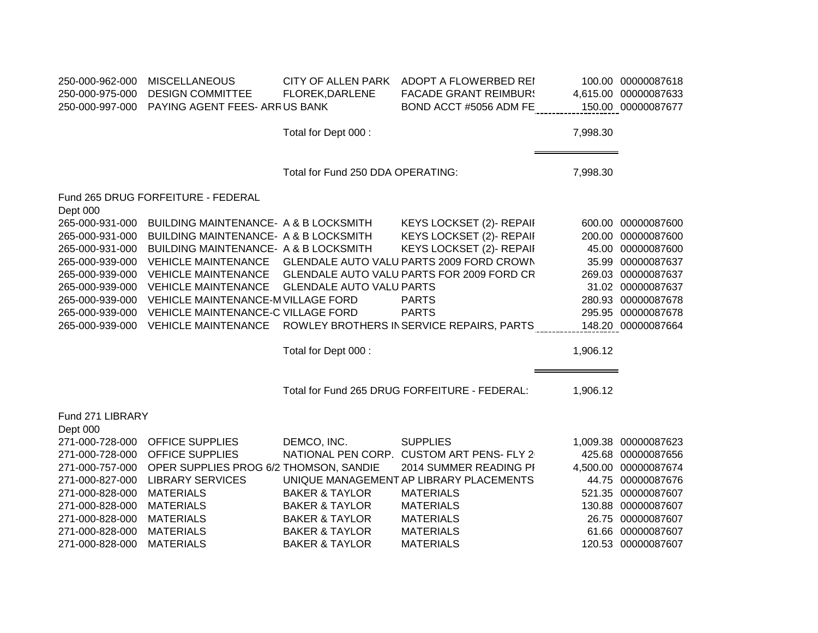| 250-000-962-000<br>250-000-975-000 | <b>MISCELLANEOUS</b><br><b>DESIGN COMMITTEE</b> | <b>CITY OF ALLEN PARK</b><br>FLOREK, DARLENE | ADOPT A FLOWERBED REI<br><b>FACADE GRANT REIMBUR!</b> |          | 100.00 00000087618<br>4,615.00 00000087633 |
|------------------------------------|-------------------------------------------------|----------------------------------------------|-------------------------------------------------------|----------|--------------------------------------------|
| 250-000-997-000                    | PAYING AGENT FEES- ARRUS BANK                   |                                              | BOND ACCT #5056 ADM FE                                |          | 150.00 00000087677                         |
|                                    |                                                 | Total for Dept 000 :                         |                                                       | 7,998.30 |                                            |
|                                    |                                                 | Total for Fund 250 DDA OPERATING:            |                                                       | 7,998.30 |                                            |
| Dept 000                           | Fund 265 DRUG FORFEITURE - FEDERAL              |                                              |                                                       |          |                                            |
| 265-000-931-000                    | BUILDING MAINTENANCE- A & B LOCKSMITH           |                                              | KEYS LOCKSET (2)- REPAII                              |          | 600.00 00000087600                         |
| 265-000-931-000                    | BUILDING MAINTENANCE- A & B LOCKSMITH           |                                              | KEYS LOCKSET (2)- REPAII                              |          | 200.00 00000087600                         |
| 265-000-931-000                    | BUILDING MAINTENANCE- A & B LOCKSMITH           |                                              | KEYS LOCKSET (2)- REPAII                              |          | 45.00 00000087600                          |
| 265-000-939-000                    | <b>VEHICLE MAINTENANCE</b>                      |                                              | GLENDALE AUTO VALU PARTS 2009 FORD CROWN              |          | 35.99 00000087637                          |
| 265-000-939-000                    | <b>VEHICLE MAINTENANCE</b>                      |                                              | GLENDALE AUTO VALU PARTS FOR 2009 FORD CR             |          | 269.03 00000087637                         |
| 265-000-939-000                    | <b>VEHICLE MAINTENANCE</b>                      | <b>GLENDALE AUTO VALU PARTS</b>              |                                                       |          | 31.02 00000087637                          |
| 265-000-939-000                    | VEHICLE MAINTENANCE-M VILLAGE FORD              |                                              | <b>PARTS</b>                                          |          | 280.93 00000087678                         |
| 265-000-939-000                    | VEHICLE MAINTENANCE-C VILLAGE FORD              |                                              | <b>PARTS</b>                                          |          | 295.95 00000087678                         |
| 265-000-939-000                    | <b>VEHICLE MAINTENANCE</b>                      |                                              | ROWLEY BROTHERS IN SERVICE REPAIRS, PARTS             |          | 148.20 00000087664                         |
|                                    |                                                 | Total for Dept 000 :                         |                                                       | 1,906.12 |                                            |
|                                    |                                                 |                                              | Total for Fund 265 DRUG FORFEITURE - FEDERAL:         | 1,906.12 |                                            |
|                                    |                                                 |                                              |                                                       |          |                                            |
| Fund 271 LIBRARY<br>Dept 000       |                                                 |                                              |                                                       |          |                                            |
| 271-000-728-000                    | <b>OFFICE SUPPLIES</b>                          | DEMCO, INC.                                  | <b>SUPPLIES</b>                                       |          | 1,009.38 00000087623                       |
| 271-000-728-000                    | <b>OFFICE SUPPLIES</b>                          |                                              | NATIONAL PEN CORP. CUSTOM ART PENS- FLY 2             |          | 425.68 00000087656                         |
| 271-000-757-000                    | OPER SUPPLIES PROG 6/2 THOMSON, SANDIE          |                                              | 2014 SUMMER READING PI                                |          | 4,500.00 00000087674                       |
| 271-000-827-000                    | <b>LIBRARY SERVICES</b>                         |                                              | UNIQUE MANAGEMENT AP LIBRARY PLACEMENTS               | 44.75    | 00000087676                                |
| 271-000-828-000                    | <b>MATERIALS</b>                                | <b>BAKER &amp; TAYLOR</b>                    | <b>MATERIALS</b>                                      | 521.35   | 00000087607                                |
| 271-000-828-000                    | <b>MATERIALS</b>                                | <b>BAKER &amp; TAYLOR</b>                    | <b>MATERIALS</b>                                      |          | 130.88 00000087607                         |
| 271-000-828-000                    | <b>MATERIALS</b>                                | <b>BAKER &amp; TAYLOR</b>                    | <b>MATERIALS</b>                                      | 26.75    | 00000087607                                |
| 271-000-828-000                    | <b>MATERIALS</b>                                | <b>BAKER &amp; TAYLOR</b>                    | <b>MATERIALS</b>                                      | 61.66    | 00000087607                                |
| 271-000-828-000                    | <b>MATERIALS</b>                                | <b>BAKER &amp; TAYLOR</b>                    | <b>MATERIALS</b>                                      |          | 120.53 00000087607                         |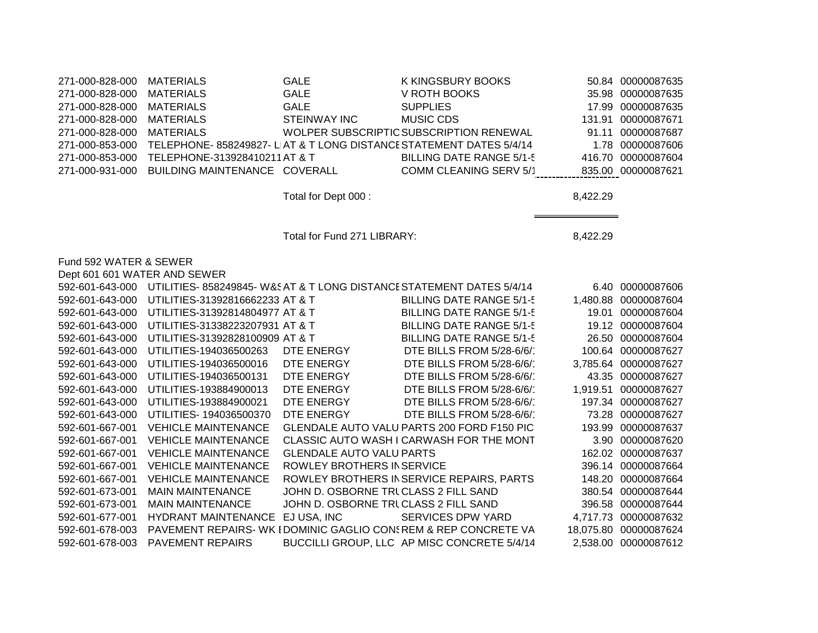| 271-000-828-000              | <b>MATERIALS</b>                                                   | <b>GALE</b>                           | K KINGSBURY BOOKS                                                   |          | 50.84 00000087635     |
|------------------------------|--------------------------------------------------------------------|---------------------------------------|---------------------------------------------------------------------|----------|-----------------------|
| 271-000-828-000              | <b>MATERIALS</b>                                                   | <b>GALE</b>                           | V ROTH BOOKS                                                        |          | 35.98 00000087635     |
| 271-000-828-000              | <b>MATERIALS</b>                                                   | <b>GALE</b>                           | <b>SUPPLIES</b>                                                     | 17.99    | 00000087635           |
| 271-000-828-000              | <b>MATERIALS</b>                                                   | <b>STEINWAY INC</b>                   | <b>MUSIC CDS</b>                                                    |          | 131.91 00000087671    |
| 271-000-828-000              | <b>MATERIALS</b>                                                   |                                       | WOLPER SUBSCRIPTIC SUBSCRIPTION RENEWAL                             |          | 91.11 00000087687     |
| 271-000-853-000              |                                                                    |                                       | TELEPHONE- 858249827- LIAT & T LONG DISTANCE STATEMENT DATES 5/4/14 | 1.78     | 00000087606           |
| 271-000-853-000              | TELEPHONE-313928410211AT & T                                       |                                       | <b>BILLING DATE RANGE 5/1-5</b>                                     | 416.70   | 00000087604           |
| 271-000-931-000              | BUILDING MAINTENANCE COVERALL                                      |                                       | <b>COMM CLEANING SERV 5/1</b>                                       |          | 835.00 00000087621    |
|                              |                                                                    |                                       |                                                                     |          |                       |
|                              |                                                                    | Total for Dept 000:                   |                                                                     | 8,422.29 |                       |
|                              |                                                                    |                                       |                                                                     |          |                       |
|                              |                                                                    |                                       |                                                                     |          |                       |
|                              |                                                                    | Total for Fund 271 LIBRARY:           |                                                                     | 8,422.29 |                       |
|                              |                                                                    |                                       |                                                                     |          |                       |
| Fund 592 WATER & SEWER       |                                                                    |                                       |                                                                     |          |                       |
| Dept 601 601 WATER AND SEWER |                                                                    |                                       |                                                                     |          |                       |
| 592-601-643-000              | UTILITIES-858249845-W&SAT & T LONG DISTANCE STATEMENT DATES 5/4/14 |                                       |                                                                     |          | 6.40 00000087606      |
| 592-601-643-000              | UTILITIES-31392816662233 AT & T                                    |                                       | <b>BILLING DATE RANGE 5/1-5</b>                                     |          | 1,480.88 00000087604  |
| 592-601-643-000              | UTILITIES-31392814804977 AT & T                                    |                                       | <b>BILLING DATE RANGE 5/1-5</b>                                     |          | 19.01 00000087604     |
| 592-601-643-000              | UTILITIES-31338223207931 AT & T                                    |                                       | <b>BILLING DATE RANGE 5/1-5</b>                                     |          | 19.12 00000087604     |
| 592-601-643-000              | UTILITIES-31392828100909 AT & T                                    |                                       | <b>BILLING DATE RANGE 5/1-5</b>                                     | 26.50    | 00000087604           |
| 592-601-643-000              | UTILITIES-194036500263                                             | DTE ENERGY                            | DTE BILLS FROM 5/28-6/6/                                            | 100.64   | 00000087627           |
| 592-601-643-000              | UTILITIES-194036500016                                             | DTE ENERGY                            | DTE BILLS FROM 5/28-6/6/                                            |          | 3,785.64 00000087627  |
| 592-601-643-000              | UTILITIES-194036500131                                             | DTE ENERGY                            | DTE BILLS FROM 5/28-6/6/                                            |          | 43.35 00000087627     |
| 592-601-643-000              | UTILITIES-193884900013                                             | DTE ENERGY                            | DTE BILLS FROM 5/28-6/6/                                            | 1,919.51 | 00000087627           |
| 592-601-643-000              | UTILITIES-193884900021                                             | DTE ENERGY                            | DTE BILLS FROM 5/28-6/6/                                            |          | 197.34 00000087627    |
| 592-601-643-000              | UTILITIES- 194036500370                                            | DTE ENERGY                            | DTE BILLS FROM 5/28-6/6/                                            | 73.28    | 00000087627           |
| 592-601-667-001              | <b>VEHICLE MAINTENANCE</b>                                         |                                       | GLENDALE AUTO VALU PARTS 200 FORD F150 PIC                          | 193.99   | 00000087637           |
| 592-601-667-001              | <b>VEHICLE MAINTENANCE</b>                                         |                                       | CLASSIC AUTO WASH I CARWASH FOR THE MONT                            | 3.90     | 00000087620           |
| 592-601-667-001              | <b>VEHICLE MAINTENANCE</b>                                         | <b>GLENDALE AUTO VALU PARTS</b>       |                                                                     | 162.02   | 00000087637           |
| 592-601-667-001              | <b>VEHICLE MAINTENANCE</b>                                         | ROWLEY BROTHERS IN SERVICE            |                                                                     |          | 396.14 00000087664    |
| 592-601-667-001              | <b>VEHICLE MAINTENANCE</b>                                         |                                       | ROWLEY BROTHERS IN SERVICE REPAIRS, PARTS                           | 148.20   | 00000087664           |
| 592-601-673-001              | <b>MAIN MAINTENANCE</b>                                            | JOHN D. OSBORNE TRICLASS 2 FILL SAND  |                                                                     | 380.54   | 00000087644           |
| 592-601-673-001              | <b>MAIN MAINTENANCE</b>                                            | JOHN D. OSBORNE TRI CLASS 2 FILL SAND |                                                                     |          | 396.58 00000087644    |
| 592-601-677-001              | <b>HYDRANT MAINTENANCE</b>                                         | EJ USA, INC                           | SERVICES DPW YARD                                                   |          | 4,717.73 00000087632  |
| 592-601-678-003              |                                                                    |                                       | PAVEMENT REPAIRS- WK I DOMINIC GAGLIO CON; REM & REP CONCRETE VA    |          | 18,075.80 00000087624 |
| 592-601-678-003              | <b>PAVEMENT REPAIRS</b>                                            |                                       | BUCCILLI GROUP, LLC AP MISC CONCRETE 5/4/14                         |          | 2,538.00 00000087612  |
|                              |                                                                    |                                       |                                                                     |          |                       |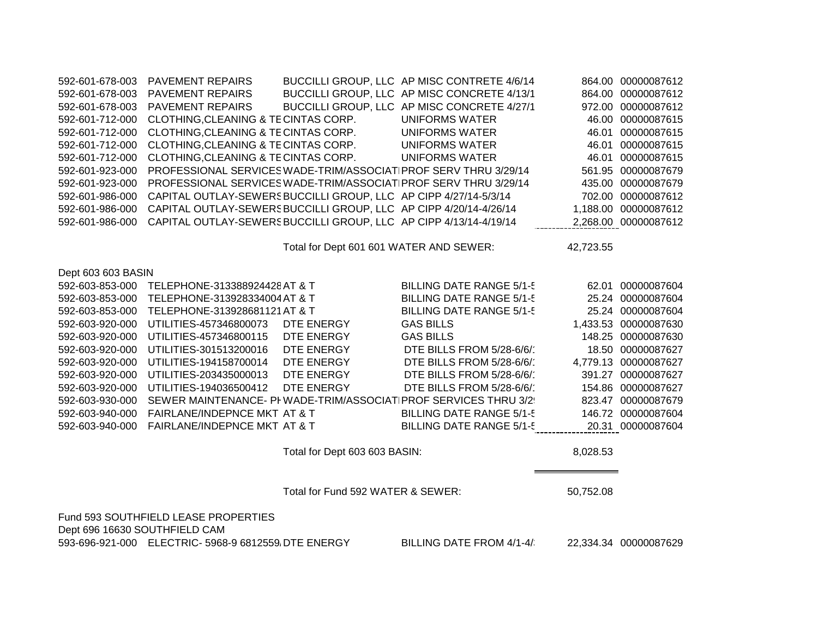| 592-601-678-003               | <b>PAVEMENT REPAIRS</b>                                           |                                         | BUCCILLI GROUP, LLC AP MISC CONCRETE 4/13/1                     |           | 864.00 00000087612    |
|-------------------------------|-------------------------------------------------------------------|-----------------------------------------|-----------------------------------------------------------------|-----------|-----------------------|
| 592-601-678-003               | <b>PAVEMENT REPAIRS</b>                                           |                                         | BUCCILLI GROUP, LLC AP MISC CONCRETE 4/27/1                     |           | 972.00 00000087612    |
| 592-601-712-000               | CLOTHING, CLEANING & TECINTAS CORP.                               |                                         | <b>UNIFORMS WATER</b>                                           |           | 46.00 00000087615     |
| 592-601-712-000               | CLOTHING, CLEANING & TECINTAS CORP.                               |                                         | <b>UNIFORMS WATER</b>                                           | 46.01     | 00000087615           |
| 592-601-712-000               | CLOTHING, CLEANING & TECINTAS CORP.                               |                                         | <b>UNIFORMS WATER</b>                                           |           | 46.01 00000087615     |
| 592-601-712-000               | CLOTHING, CLEANING & TECINTAS CORP.                               |                                         | <b>UNIFORMS WATER</b>                                           |           | 46.01 00000087615     |
| 592-601-923-000               | PROFESSIONAL SERVICES WADE-TRIM/ASSOCIAT PROF SERV THRU 3/29/14   |                                         |                                                                 |           | 561.95 00000087679    |
| 592-601-923-000               | PROFESSIONAL SERVICES WADE-TRIM/ASSOCIAT PROF SERV THRU 3/29/14   |                                         |                                                                 |           | 435.00 00000087679    |
| 592-601-986-000               | CAPITAL OUTLAY-SEWERS BUCCILLI GROUP, LLC AP CIPP 4/27/14-5/3/14  |                                         |                                                                 |           | 702.00 00000087612    |
| 592-601-986-000               | CAPITAL OUTLAY-SEWERS BUCCILLI GROUP, LLC AP CIPP 4/20/14-4/26/14 |                                         |                                                                 |           | 1,188.00 00000087612  |
| 592-601-986-000               | CAPITAL OUTLAY-SEWERS BUCCILLI GROUP, LLC AP CIPP 4/13/14-4/19/14 |                                         |                                                                 |           | 2,268.00 00000087612  |
|                               |                                                                   | Total for Dept 601 601 WATER AND SEWER: |                                                                 | 42,723.55 |                       |
| Dept 603 603 BASIN            |                                                                   |                                         |                                                                 |           |                       |
| 592-603-853-000               | TELEPHONE-313388924428 AT & T                                     |                                         | <b>BILLING DATE RANGE 5/1-5</b>                                 |           | 62.01 00000087604     |
| 592-603-853-000               | TELEPHONE-313928334004 AT & T                                     |                                         | <b>BILLING DATE RANGE 5/1-5</b>                                 |           | 25.24 00000087604     |
| 592-603-853-000               | TELEPHONE-313928681121 AT & T                                     |                                         | <b>BILLING DATE RANGE 5/1-5</b>                                 |           | 25.24 00000087604     |
| 592-603-920-000               | UTILITIES-457346800073                                            | DTE ENERGY                              | <b>GAS BILLS</b>                                                |           | 1,433.53 00000087630  |
| 592-603-920-000               | UTILITIES-457346800115                                            | DTE ENERGY                              | <b>GAS BILLS</b>                                                |           | 148.25 00000087630    |
| 592-603-920-000               | UTILITIES-301513200016                                            | DTE ENERGY                              | DTE BILLS FROM 5/28-6/6/                                        |           | 18.50 00000087627     |
| 592-603-920-000               | UTILITIES-194158700014                                            | DTE ENERGY                              | DTE BILLS FROM 5/28-6/6/                                        |           | 4,779.13 00000087627  |
| 592-603-920-000               | UTILITIES-203435000013                                            | DTE ENERGY                              | DTE BILLS FROM 5/28-6/6/                                        |           | 391.27 00000087627    |
| 592-603-920-000               | UTILITIES-194036500412                                            | DTE ENERGY                              | DTE BILLS FROM 5/28-6/6/                                        |           | 154.86 00000087627    |
| 592-603-930-000               |                                                                   |                                         | SEWER MAINTENANCE- PI WADE-TRIM/ASSOCIAT PROF SERVICES THRU 3/2 |           | 823.47 00000087679    |
| 592-603-940-000               | FAIRLANE/INDEPNCE MKT AT & T                                      |                                         | <b>BILLING DATE RANGE 5/1-5</b>                                 |           | 146.72 00000087604    |
| 592-603-940-000               | FAIRLANE/INDEPNCE MKT AT & T                                      |                                         | <b>BILLING DATE RANGE 5/1-5</b>                                 |           | 20.31 00000087604     |
|                               |                                                                   | Total for Dept 603 603 BASIN:           |                                                                 | 8,028.53  |                       |
|                               |                                                                   | Total for Fund 592 WATER & SEWER:       |                                                                 | 50,752.08 |                       |
|                               | Fund 593 SOUTHFIELD LEASE PROPERTIES                              |                                         |                                                                 |           |                       |
| Dept 696 16630 SOUTHFIELD CAM |                                                                   |                                         |                                                                 |           |                       |
|                               | 593-696-921-000 ELECTRIC- 5968-9 6812559 DTE ENERGY               |                                         | BILLING DATE FROM 4/1-4/                                        |           | 22,334.34 00000087629 |

592-601-678-003 PAVEMENT REPAIRS BUCCILLI GROUP, LLC AP MISC CONTRETE 4/6/14 864.00 00000087612